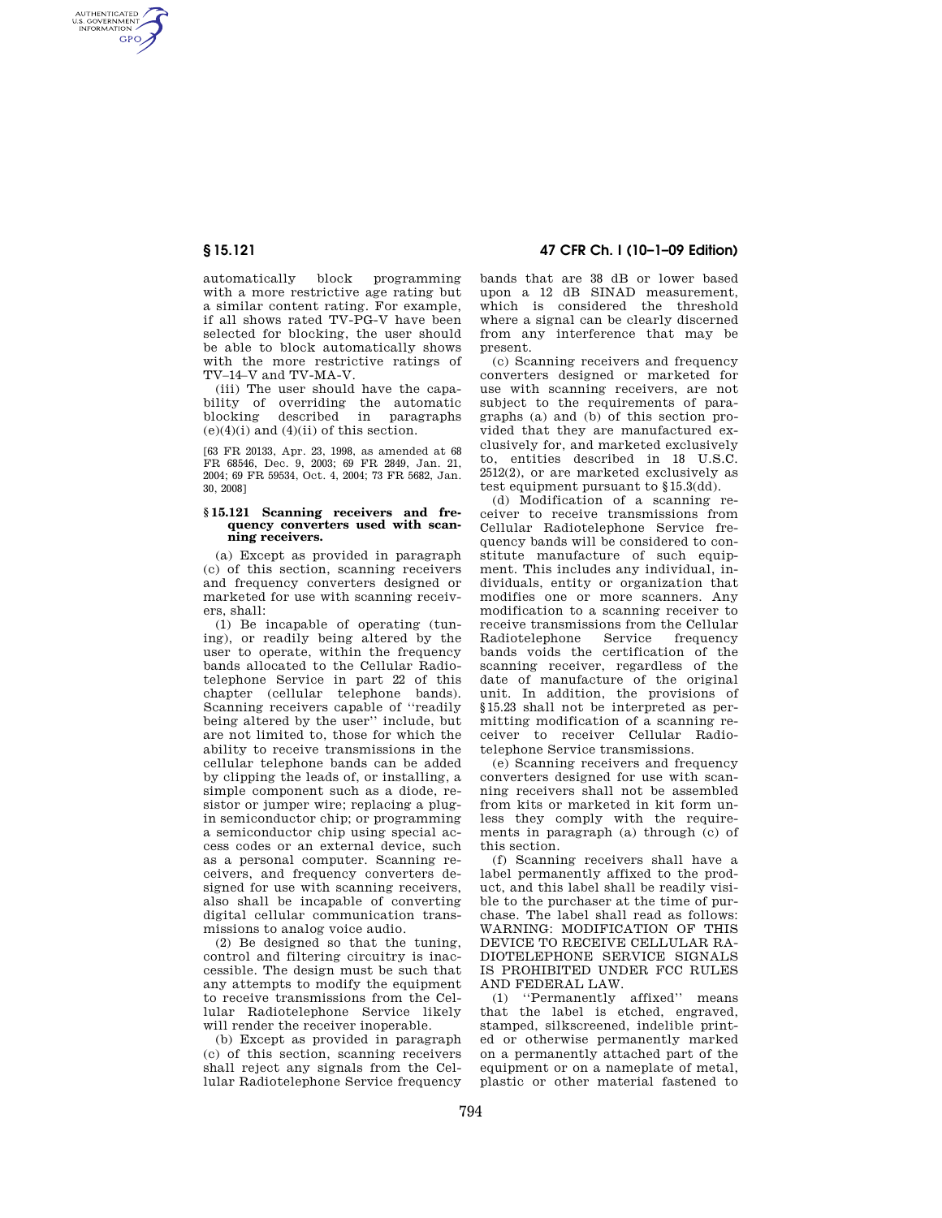AUTHENTICATED<br>U.S. GOVERNMENT<br>INFORMATION **GPO** 

> automatically block programming with a more restrictive age rating but a similar content rating. For example, if all shows rated TV-PG-V have been selected for blocking, the user should be able to block automatically shows with the more restrictive ratings of TV–14–V and TV-MA-V.

> (iii) The user should have the capability of overriding the automatic blocking described in paragraphs  $(e)(4)(i)$  and  $(4)(ii)$  of this section.

> [63 FR 20133, Apr. 23, 1998, as amended at 68 FR 68546, Dec. 9, 2003; 69 FR 2849, Jan. 21, 2004; 69 FR 59534, Oct. 4, 2004; 73 FR 5682, Jan. 30, 2008]

## **§ 15.121 Scanning receivers and frequency converters used with scanning receivers.**

(a) Except as provided in paragraph (c) of this section, scanning receivers and frequency converters designed or marketed for use with scanning receivers, shall:

(1) Be incapable of operating (tuning), or readily being altered by the user to operate, within the frequency bands allocated to the Cellular Radiotelephone Service in part 22 of this chapter (cellular telephone bands). Scanning receivers capable of ''readily being altered by the user'' include, but are not limited to, those for which the ability to receive transmissions in the cellular telephone bands can be added by clipping the leads of, or installing, a simple component such as a diode, resistor or jumper wire; replacing a plugin semiconductor chip; or programming a semiconductor chip using special access codes or an external device, such as a personal computer. Scanning receivers, and frequency converters designed for use with scanning receivers, also shall be incapable of converting digital cellular communication transmissions to analog voice audio.

(2) Be designed so that the tuning, control and filtering circuitry is inaccessible. The design must be such that any attempts to modify the equipment to receive transmissions from the Cellular Radiotelephone Service likely will render the receiver inoperable.

(b) Except as provided in paragraph (c) of this section, scanning receivers shall reject any signals from the Cellular Radiotelephone Service frequency

**§ 15.121 47 CFR Ch. I (10–1–09 Edition)** 

bands that are 38 dB or lower based upon a 12 dB SINAD measurement, which is considered the threshold where a signal can be clearly discerned from any interference that may be present.

(c) Scanning receivers and frequency converters designed or marketed for use with scanning receivers, are not subject to the requirements of paragraphs (a) and (b) of this section provided that they are manufactured exclusively for, and marketed exclusively to, entities described in 18 U.S.C. 2512(2), or are marketed exclusively as test equipment pursuant to §15.3(dd).

(d) Modification of a scanning receiver to receive transmissions from Cellular Radiotelephone Service frequency bands will be considered to constitute manufacture of such equipment. This includes any individual, individuals, entity or organization that modifies one or more scanners. Any modification to a scanning receiver to receive transmissions from the Cellular Radiotelephone Service frequency bands voids the certification of the scanning receiver, regardless of the date of manufacture of the original unit. In addition, the provisions of §15.23 shall not be interpreted as permitting modification of a scanning receiver to receiver Cellular Radiotelephone Service transmissions.

(e) Scanning receivers and frequency converters designed for use with scanning receivers shall not be assembled from kits or marketed in kit form unless they comply with the requirements in paragraph (a) through (c) of this section.

(f) Scanning receivers shall have a label permanently affixed to the product, and this label shall be readily visible to the purchaser at the time of purchase. The label shall read as follows: WARNING: MODIFICATION OF THIS DEVICE TO RECEIVE CELLULAR RA-DIOTELEPHONE SERVICE SIGNALS IS PROHIBITED UNDER FCC RULES AND FEDERAL LAW.

(1) ''Permanently affixed'' means that the label is etched, engraved, stamped, silkscreened, indelible printed or otherwise permanently marked on a permanently attached part of the equipment or on a nameplate of metal, plastic or other material fastened to